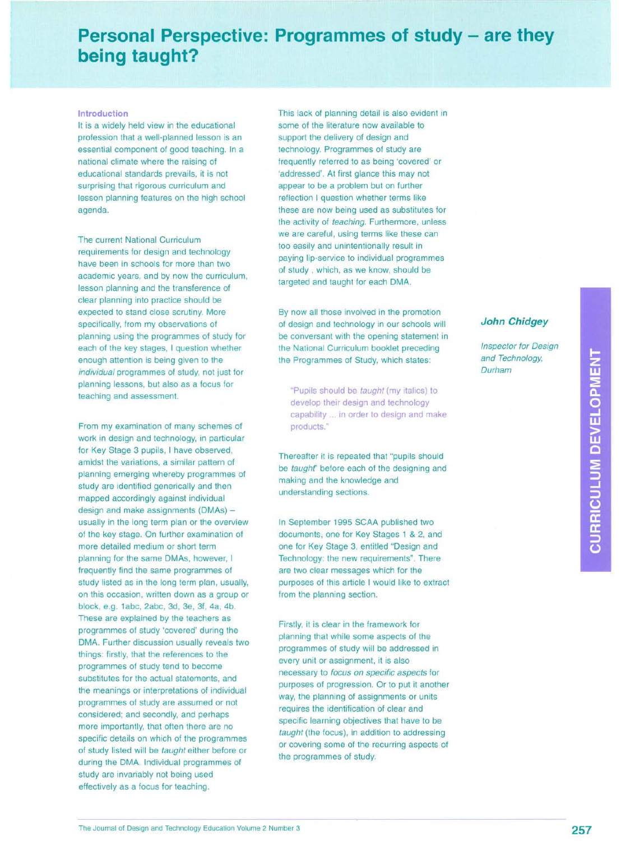## **Personal Perspective: Programmes of study - are they being taught?**

## **Introduction**

It is a widely held view in the educational profession that a well-planned lesson is an essential component of good teaching. In a national climate where the raising of educational standards prevails, it is not surprising that rigorous curriculum and lesson planning features on the high school agenda.

The current National Curriculum requirements for design and technology have been in schools for more than two academic years, and by now the curriculum, lesson planning and the transference of clear planning into practice should be expected to stand close scrutiny. More specifically, from my observations of planning using the programmes of study for each of the key stages, I question whether enough attention is being given to the *individual* programmes of study, not just for planning lessons, but also as a focus for teaching and assessment.

From my examination of many schemes of work in design and technology, in particular for Key Stage 3 pupils, I have observed, amidst the variations, a similar pattern of planning emerging whereby programmes of study are identified generically and then mapped accordingly against individual design and make assignments (DMAs) usually in the long term plan or the overview of the key stage. On further examination of more detailed medium or short term planning for the same DMAs, however, I frequently find the same programmes of study listed as in the long term plan, usually, on this occasion, written down as a group or block, e.g. 1abc, 2abc, 3d, 3e, 3f, 4a, 4b. These are explained by the teachers as programmes of study 'covered' during the DMA. Further discussion usually reveals two things: firstly, that the references to the programmes of study tend to become substitutes for the actual statements, and the meanings or interpretations of individual programmes of study are assumed or not considered; and secondly, and perhaps more importantly, that often there are no specific details on which of the programmes of study listed will be *taught* either before or during the DMA. Individual programmes of study are invariably not being used effectively as a focus for teaching.

This lack of planning detail is also evident in some of the literature now available to support the delivery of design and technology. Programmes of study are frequently referred to as being 'covered' or 'addressed'. At first glance this may not appear to be a problem but on further reflection I question whether terms like these are now being used as substitutes for the activity of *teaching.* Furthermore, unless we are careful, using terms like these can too easily and unintentionally result in paying lip-service to individual programmes of study, which, as we know, should be targeted and taught for each DMA.

By now all those involved in the promotion of design and technology in our schools will be conversant with the opening statement in the National Curriculum booklet preceding the Programmes of Study, which states:

"Pupils should be *taught* (my italics) to develop their design and technology capability ... in order to design and make products."

Thereafter it is repeated that "pupils should be *taught'* before each of the designing and making and the knowledge and understanding sections.

In September 1995 SCAA published two documents, one for Key Stages 1 & 2, and one for Key Stage 3, entitled "Design and Technology: the new requirements". There are two clear messages which for the purposes of this article I would like to extract from the planning section.

Firstly, it is clear in the framework for planning that while some aspects of the programmes of study will be addressed in every unit or assignment, it is also necessary to *focus on specific aspects* for purposes of progression. Or to put it another way, the planning of assignments or units requires the identification of clear and specific learning objectives that have to be *taught* (the focus), in addition to addressing or covering some of the recurring aspects of the programmes of study.

## **John Chidgey**

*Inspector for Design and Technology, Durham*